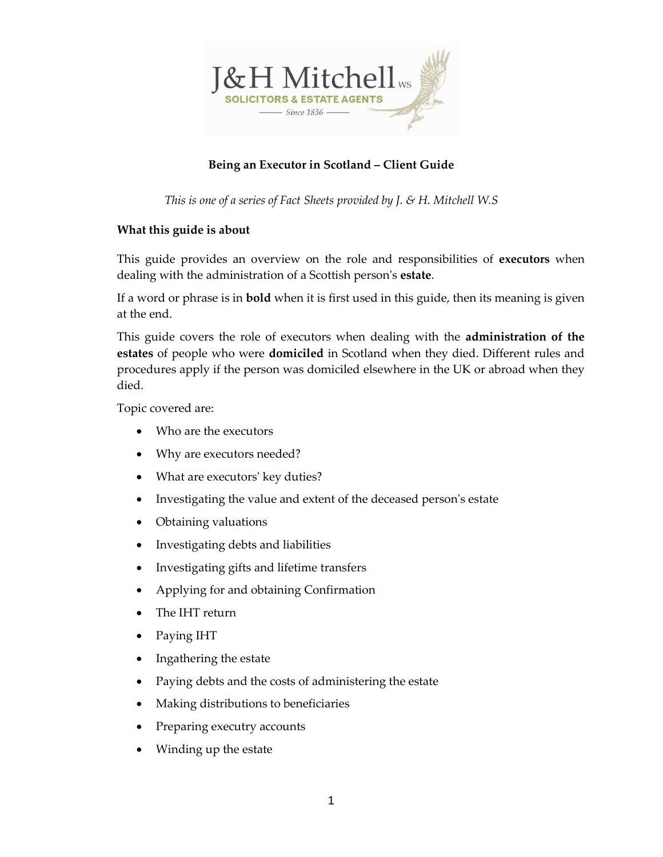

# **Being an Executor in Scotland – Client Guide**

*This is one of a series of Fact Sheets provided by J. & H. Mitchell W.S*

### **What this guide is about**

This guide provides an overview on the role and responsibilities of **executors** when dealing with the administration of a Scottish person's **estate**.

If a word or phrase is in **bold** when it is first used in this guide, then its meaning is given at the end.

This guide covers the role of executors when dealing with the **administration of the estates** of people who were **domiciled** in Scotland when they died. Different rules and procedures apply if the person was domiciled elsewhere in the UK or abroad when they died.

Topic covered are:

- Who are the executors
- Why are executors needed?
- What are executors' key duties?
- Investigating the value and extent of the deceased person's estate
- Obtaining valuations
- Investigating debts and liabilities
- Investigating gifts and lifetime transfers
- Applying for and obtaining Confirmation
- The IHT return
- Paying IHT
- Ingathering the estate
- Paying debts and the costs of administering the estate
- Making distributions to beneficiaries
- Preparing executry accounts
- Winding up the estate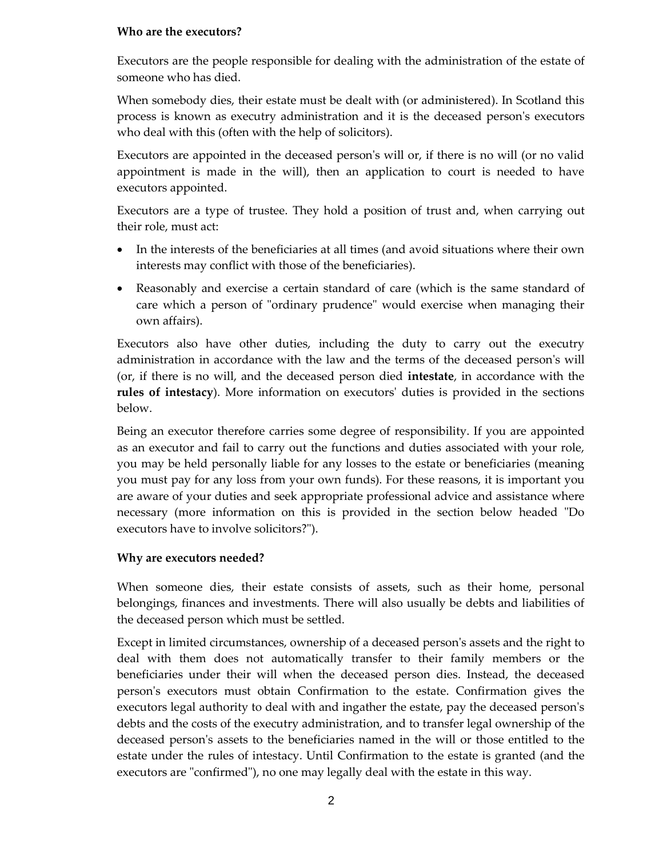### **Who are the executors?**

Executors are the people responsible for dealing with the administration of the estate of someone who has died.

When somebody dies, their estate must be dealt with (or administered). In Scotland this process is known as executry administration and it is the deceased person's executors who deal with this (often with the help of solicitors).

Executors are appointed in the deceased person's will or, if there is no will (or no valid appointment is made in the will), then an application to court is needed to have executors appointed.

Executors are a type of trustee. They hold a position of trust and, when carrying out their role, must act:

- In the interests of the beneficiaries at all times (and avoid situations where their own interests may conflict with those of the beneficiaries).
- Reasonably and exercise a certain standard of care (which is the same standard of care which a person of "ordinary prudence" would exercise when managing their own affairs).

Executors also have other duties, including the duty to carry out the executry administration in accordance with the law and the terms of the deceased person's will (or, if there is no will, and the deceased person died **intestate**, in accordance with the **rules of intestacy**). More information on executors' duties is provided in the sections below.

Being an executor therefore carries some degree of responsibility. If you are appointed as an executor and fail to carry out the functions and duties associated with your role, you may be held personally liable for any losses to the estate or beneficiaries (meaning you must pay for any loss from your own funds). For these reasons, it is important you are aware of your duties and seek appropriate professional advice and assistance where necessary (more information on this is provided in the section below headed "Do executors have to involve solicitors?").

### **Why are executors needed?**

When someone dies, their estate consists of assets, such as their home, personal belongings, finances and investments. There will also usually be debts and liabilities of the deceased person which must be settled.

Except in limited circumstances, ownership of a deceased person's assets and the right to deal with them does not automatically transfer to their family members or the beneficiaries under their will when the deceased person dies. Instead, the deceased person's executors must obtain Confirmation to the estate. Confirmation gives the executors legal authority to deal with and ingather the estate, pay the deceased person's debts and the costs of the executry administration, and to transfer legal ownership of the deceased person's assets to the beneficiaries named in the will or those entitled to the estate under the rules of intestacy. Until Confirmation to the estate is granted (and the executors are "confirmed"), no one may legally deal with the estate in this way.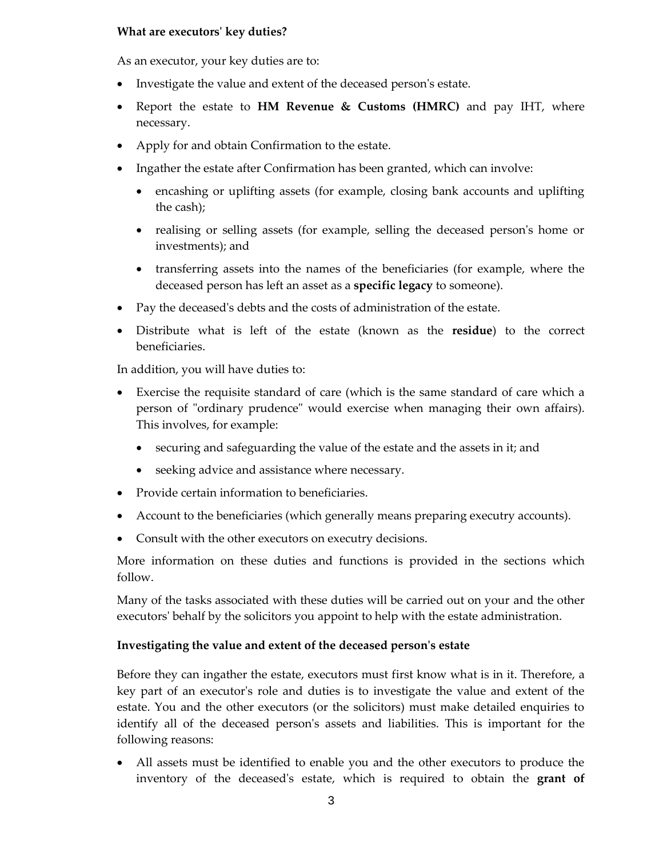#### **What are executors' key duties?**

As an executor, your key duties are to:

- Investigate the value and extent of the deceased person's estate.
- Report the estate to **HM Revenue & Customs (HMRC)** and pay IHT, where necessary.
- Apply for and obtain Confirmation to the estate.
- Ingather the estate after Confirmation has been granted, which can involve:
	- encashing or uplifting assets (for example, closing bank accounts and uplifting the cash);
	- realising or selling assets (for example, selling the deceased person's home or investments); and
	- transferring assets into the names of the beneficiaries (for example, where the deceased person has left an asset as a **specific legacy** to someone).
- Pay the deceased's debts and the costs of administration of the estate.
- Distribute what is left of the estate (known as the **residue**) to the correct beneficiaries.

In addition, you will have duties to:

- Exercise the requisite standard of care (which is the same standard of care which a person of "ordinary prudence" would exercise when managing their own affairs). This involves, for example:
	- securing and safeguarding the value of the estate and the assets in it; and
	- seeking advice and assistance where necessary.
- Provide certain information to beneficiaries.
- Account to the beneficiaries (which generally means preparing executry accounts).
- Consult with the other executors on executry decisions.

More information on these duties and functions is provided in the sections which follow.

Many of the tasks associated with these duties will be carried out on your and the other executors' behalf by the solicitors you appoint to help with the estate administration.

### **Investigating the value and extent of the deceased person's estate**

Before they can ingather the estate, executors must first know what is in it. Therefore, a key part of an executor's role and duties is to investigate the value and extent of the estate. You and the other executors (or the solicitors) must make detailed enquiries to identify all of the deceased person's assets and liabilities. This is important for the following reasons:

• All assets must be identified to enable you and the other executors to produce the inventory of the deceased's estate, which is required to obtain the **grant of**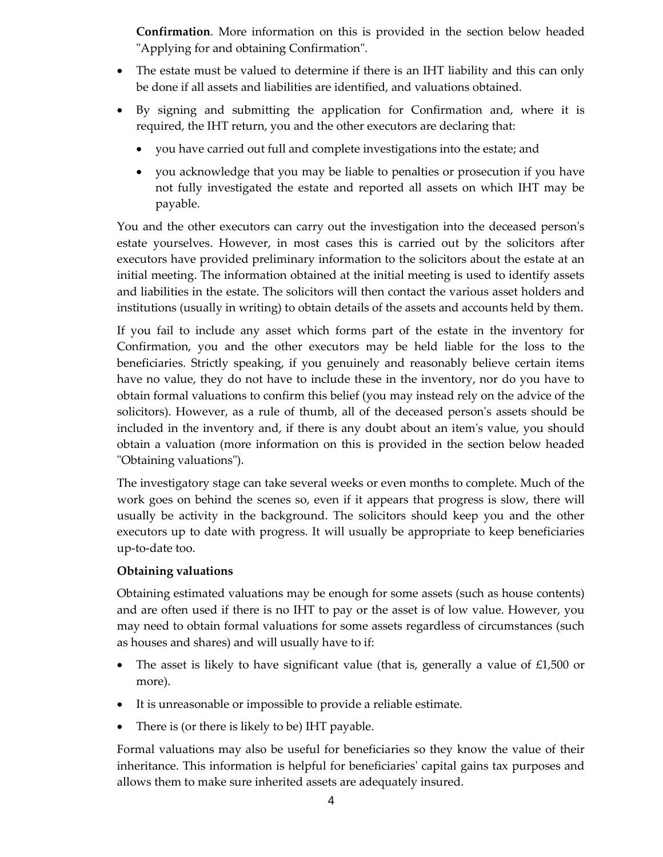**Confirmation**. More information on this is provided in the section below headed "Applying for and obtaining Confirmation".

- The estate must be valued to determine if there is an IHT liability and this can only be done if all assets and liabilities are identified, and valuations obtained.
- By signing and submitting the application for Confirmation and, where it is required, the IHT return, you and the other executors are declaring that:
	- you have carried out full and complete investigations into the estate; and
	- you acknowledge that you may be liable to penalties or prosecution if you have not fully investigated the estate and reported all assets on which IHT may be payable.

You and the other executors can carry out the investigation into the deceased person's estate yourselves. However, in most cases this is carried out by the solicitors after executors have provided preliminary information to the solicitors about the estate at an initial meeting. The information obtained at the initial meeting is used to identify assets and liabilities in the estate. The solicitors will then contact the various asset holders and institutions (usually in writing) to obtain details of the assets and accounts held by them.

If you fail to include any asset which forms part of the estate in the inventory for Confirmation, you and the other executors may be held liable for the loss to the beneficiaries. Strictly speaking, if you genuinely and reasonably believe certain items have no value, they do not have to include these in the inventory, nor do you have to obtain formal valuations to confirm this belief (you may instead rely on the advice of the solicitors). However, as a rule of thumb, all of the deceased person's assets should be included in the inventory and, if there is any doubt about an item's value, you should obtain a valuation (more information on this is provided in the section below headed "Obtaining valuations").

The investigatory stage can take several weeks or even months to complete. Much of the work goes on behind the scenes so, even if it appears that progress is slow, there will usually be activity in the background. The solicitors should keep you and the other executors up to date with progress. It will usually be appropriate to keep beneficiaries up-to-date too.

### **Obtaining valuations**

Obtaining estimated valuations may be enough for some assets (such as house contents) and are often used if there is no IHT to pay or the asset is of low value. However, you may need to obtain formal valuations for some assets regardless of circumstances (such as houses and shares) and will usually have to if:

- The asset is likely to have significant value (that is, generally a value of  $£1,500$  or more).
- It is unreasonable or impossible to provide a reliable estimate.
- There is (or there is likely to be) IHT payable.

Formal valuations may also be useful for beneficiaries so they know the value of their inheritance. This information is helpful for beneficiaries' capital gains tax purposes and allows them to make sure inherited assets are adequately insured.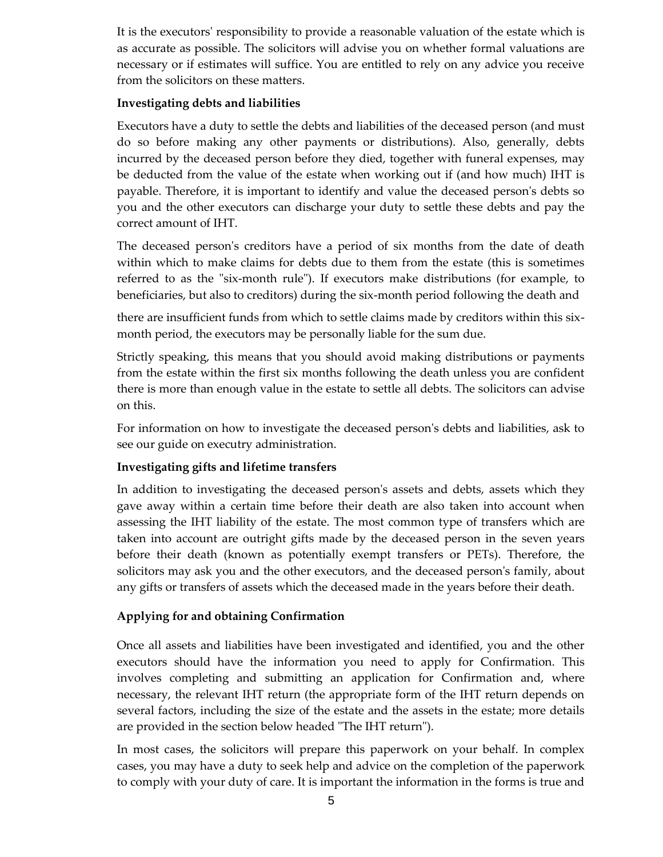It is the executors' responsibility to provide a reasonable valuation of the estate which is as accurate as possible. The solicitors will advise you on whether formal valuations are necessary or if estimates will suffice. You are entitled to rely on any advice you receive from the solicitors on these matters.

### **Investigating debts and liabilities**

Executors have a duty to settle the debts and liabilities of the deceased person (and must do so before making any other payments or distributions). Also, generally, debts incurred by the deceased person before they died, together with funeral expenses, may be deducted from the value of the estate when working out if (and how much) IHT is payable. Therefore, it is important to identify and value the deceased person's debts so you and the other executors can discharge your duty to settle these debts and pay the correct amount of IHT.

The deceased person's creditors have a period of six months from the date of death within which to make claims for debts due to them from the estate (this is sometimes referred to as the "six-month rule"). If executors make distributions (for example, to beneficiaries, but also to creditors) during the six-month period following the death and

there are insufficient funds from which to settle claims made by creditors within this sixmonth period, the executors may be personally liable for the sum due.

Strictly speaking, this means that you should avoid making distributions or payments from the estate within the first six months following the death unless you are confident there is more than enough value in the estate to settle all debts. The solicitors can advise on this.

For information on how to investigate the deceased person's debts and liabilities, ask to see our guide on executry administration.

# **Investigating gifts and lifetime transfers**

In addition to investigating the deceased person's assets and debts, assets which they gave away within a certain time before their death are also taken into account when assessing the IHT liability of the estate. The most common type of transfers which are taken into account are outright gifts made by the deceased person in the seven years before their death (known as potentially exempt transfers or PETs). Therefore, the solicitors may ask you and the other executors, and the deceased person's family, about any gifts or transfers of assets which the deceased made in the years before their death.

# **Applying for and obtaining Confirmation**

Once all assets and liabilities have been investigated and identified, you and the other executors should have the information you need to apply for Confirmation. This involves completing and submitting an application for Confirmation and, where necessary, the relevant IHT return (the appropriate form of the IHT return depends on several factors, including the size of the estate and the assets in the estate; more details are provided in the section below headed "The IHT return").

In most cases, the solicitors will prepare this paperwork on your behalf. In complex cases, you may have a duty to seek help and advice on the completion of the paperwork to comply with your duty of care. It is important the information in the forms is true and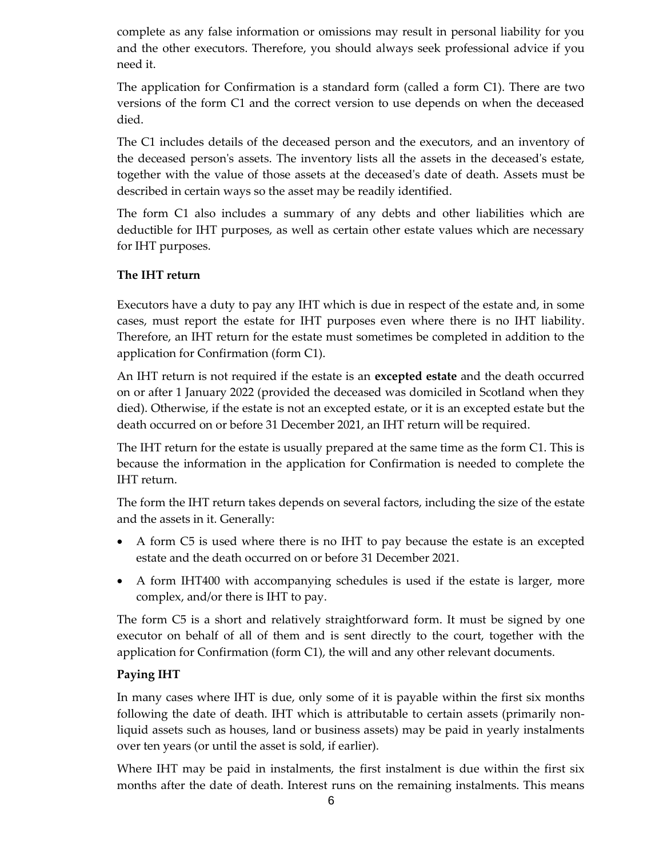complete as any false information or omissions may result in personal liability for you and the other executors. Therefore, you should always seek professional advice if you need it.

The application for Confirmation is a standard form (called a form C1). There are two versions of the form C1 and the correct version to use depends on when the deceased died.

The C1 includes details of the deceased person and the executors, and an inventory of the deceased person's assets. The inventory lists all the assets in the deceased's estate, together with the value of those assets at the deceased's date of death. Assets must be described in certain ways so the asset may be readily identified.

The form C1 also includes a summary of any debts and other liabilities which are deductible for IHT purposes, as well as certain other estate values which are necessary for IHT purposes.

### **The IHT return**

Executors have a duty to pay any IHT which is due in respect of the estate and, in some cases, must report the estate for IHT purposes even where there is no IHT liability. Therefore, an IHT return for the estate must sometimes be completed in addition to the application for Confirmation (form C1).

An IHT return is not required if the estate is an **excepted estate** and the death occurred on or after 1 January 2022 (provided the deceased was domiciled in Scotland when they died). Otherwise, if the estate is not an excepted estate, or it is an excepted estate but the death occurred on or before 31 December 2021, an IHT return will be required.

The IHT return for the estate is usually prepared at the same time as the form C1. This is because the information in the application for Confirmation is needed to complete the IHT return.

The form the IHT return takes depends on several factors, including the size of the estate and the assets in it. Generally:

- A form C5 is used where there is no IHT to pay because the estate is an excepted estate and the death occurred on or before 31 December 2021.
- A form IHT400 with accompanying schedules is used if the estate is larger, more complex, and/or there is IHT to pay.

The form C5 is a short and relatively straightforward form. It must be signed by one executor on behalf of all of them and is sent directly to the court, together with the application for Confirmation (form C1), the will and any other relevant documents.

### **Paying IHT**

In many cases where IHT is due, only some of it is payable within the first six months following the date of death. IHT which is attributable to certain assets (primarily nonliquid assets such as houses, land or business assets) may be paid in yearly instalments over ten years (or until the asset is sold, if earlier).

Where IHT may be paid in instalments, the first instalment is due within the first six months after the date of death. Interest runs on the remaining instalments. This means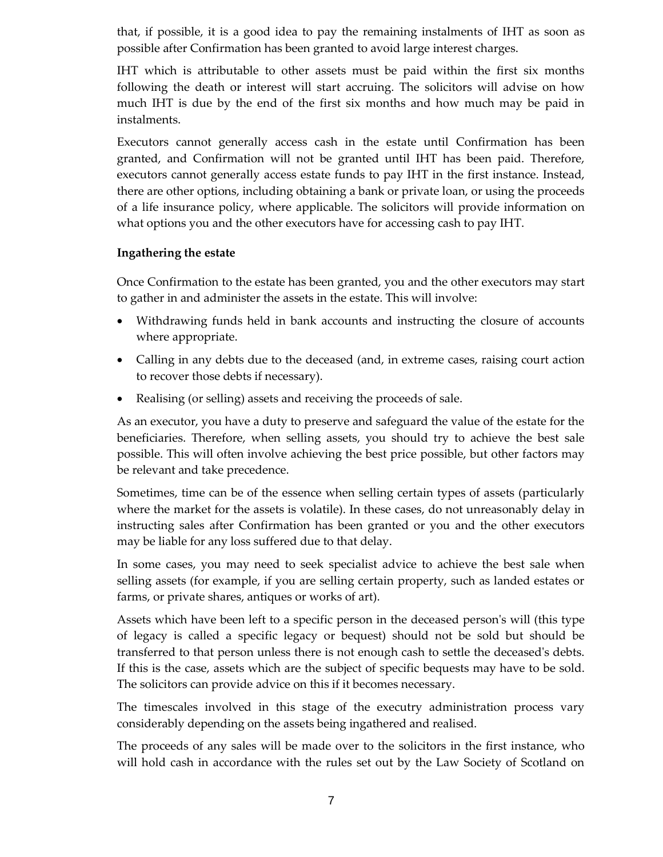that, if possible, it is a good idea to pay the remaining instalments of IHT as soon as possible after Confirmation has been granted to avoid large interest charges.

IHT which is attributable to other assets must be paid within the first six months following the death or interest will start accruing. The solicitors will advise on how much IHT is due by the end of the first six months and how much may be paid in instalments.

Executors cannot generally access cash in the estate until Confirmation has been granted, and Confirmation will not be granted until IHT has been paid. Therefore, executors cannot generally access estate funds to pay IHT in the first instance. Instead, there are other options, including obtaining a bank or private loan, or using the proceeds of a life insurance policy, where applicable. The solicitors will provide information on what options you and the other executors have for accessing cash to pay IHT.

### **Ingathering the estate**

Once Confirmation to the estate has been granted, you and the other executors may start to gather in and administer the assets in the estate. This will involve:

- Withdrawing funds held in bank accounts and instructing the closure of accounts where appropriate.
- Calling in any debts due to the deceased (and, in extreme cases, raising court action to recover those debts if necessary).
- Realising (or selling) assets and receiving the proceeds of sale.

As an executor, you have a duty to preserve and safeguard the value of the estate for the beneficiaries. Therefore, when selling assets, you should try to achieve the best sale possible. This will often involve achieving the best price possible, but other factors may be relevant and take precedence.

Sometimes, time can be of the essence when selling certain types of assets (particularly where the market for the assets is volatile). In these cases, do not unreasonably delay in instructing sales after Confirmation has been granted or you and the other executors may be liable for any loss suffered due to that delay.

In some cases, you may need to seek specialist advice to achieve the best sale when selling assets (for example, if you are selling certain property, such as landed estates or farms, or private shares, antiques or works of art).

Assets which have been left to a specific person in the deceased person's will (this type of legacy is called a specific legacy or bequest) should not be sold but should be transferred to that person unless there is not enough cash to settle the deceased's debts. If this is the case, assets which are the subject of specific bequests may have to be sold. The solicitors can provide advice on this if it becomes necessary.

The timescales involved in this stage of the executry administration process vary considerably depending on the assets being ingathered and realised.

The proceeds of any sales will be made over to the solicitors in the first instance, who will hold cash in accordance with the rules set out by the Law Society of Scotland on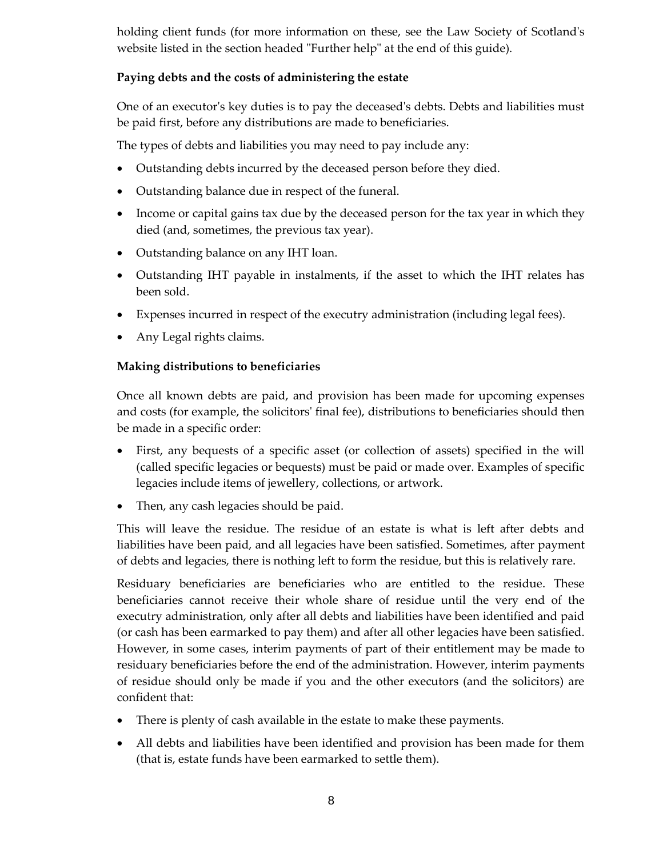holding client funds (for more information on these, see the Law Society of Scotland's website listed in the section headed "Further help" at the end of this guide).

# **Paying debts and the costs of administering the estate**

One of an executor's key duties is to pay the deceased's debts. Debts and liabilities must be paid first, before any distributions are made to beneficiaries.

The types of debts and liabilities you may need to pay include any:

- Outstanding debts incurred by the deceased person before they died.
- Outstanding balance due in respect of the funeral.
- Income or capital gains tax due by the deceased person for the tax year in which they died (and, sometimes, the previous tax year).
- Outstanding balance on any IHT loan.
- Outstanding IHT payable in instalments, if the asset to which the IHT relates has been sold.
- Expenses incurred in respect of the executry administration (including legal fees).
- Any Legal rights claims.

# **Making distributions to beneficiaries**

Once all known debts are paid, and provision has been made for upcoming expenses and costs (for example, the solicitors' final fee), distributions to beneficiaries should then be made in a specific order:

- First, any bequests of a specific asset (or collection of assets) specified in the will (called specific legacies or bequests) must be paid or made over. Examples of specific legacies include items of jewellery, collections, or artwork.
- Then, any cash legacies should be paid.

This will leave the residue. The residue of an estate is what is left after debts and liabilities have been paid, and all legacies have been satisfied. Sometimes, after payment of debts and legacies, there is nothing left to form the residue, but this is relatively rare.

Residuary beneficiaries are beneficiaries who are entitled to the residue. These beneficiaries cannot receive their whole share of residue until the very end of the executry administration, only after all debts and liabilities have been identified and paid (or cash has been earmarked to pay them) and after all other legacies have been satisfied. However, in some cases, interim payments of part of their entitlement may be made to residuary beneficiaries before the end of the administration. However, interim payments of residue should only be made if you and the other executors (and the solicitors) are confident that:

- There is plenty of cash available in the estate to make these payments.
- All debts and liabilities have been identified and provision has been made for them (that is, estate funds have been earmarked to settle them).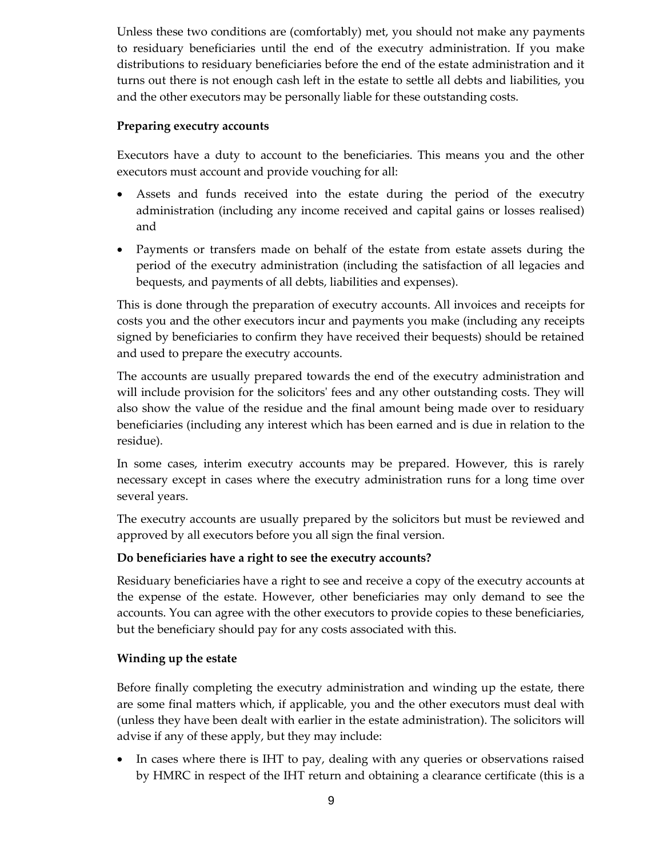Unless these two conditions are (comfortably) met, you should not make any payments to residuary beneficiaries until the end of the executry administration. If you make distributions to residuary beneficiaries before the end of the estate administration and it turns out there is not enough cash left in the estate to settle all debts and liabilities, you and the other executors may be personally liable for these outstanding costs.

### **Preparing executry accounts**

Executors have a duty to account to the beneficiaries. This means you and the other executors must account and provide vouching for all:

- Assets and funds received into the estate during the period of the executry administration (including any income received and capital gains or losses realised) and
- Payments or transfers made on behalf of the estate from estate assets during the period of the executry administration (including the satisfaction of all legacies and bequests, and payments of all debts, liabilities and expenses).

This is done through the preparation of executry accounts. All invoices and receipts for costs you and the other executors incur and payments you make (including any receipts signed by beneficiaries to confirm they have received their bequests) should be retained and used to prepare the executry accounts.

The accounts are usually prepared towards the end of the executry administration and will include provision for the solicitors' fees and any other outstanding costs. They will also show the value of the residue and the final amount being made over to residuary beneficiaries (including any interest which has been earned and is due in relation to the residue).

In some cases, interim executry accounts may be prepared. However, this is rarely necessary except in cases where the executry administration runs for a long time over several years.

The executry accounts are usually prepared by the solicitors but must be reviewed and approved by all executors before you all sign the final version.

# **Do beneficiaries have a right to see the executry accounts?**

Residuary beneficiaries have a right to see and receive a copy of the executry accounts at the expense of the estate. However, other beneficiaries may only demand to see the accounts. You can agree with the other executors to provide copies to these beneficiaries, but the beneficiary should pay for any costs associated with this.

# **Winding up the estate**

Before finally completing the executry administration and winding up the estate, there are some final matters which, if applicable, you and the other executors must deal with (unless they have been dealt with earlier in the estate administration). The solicitors will advise if any of these apply, but they may include:

• In cases where there is IHT to pay, dealing with any queries or observations raised by HMRC in respect of the IHT return and obtaining a clearance certificate (this is a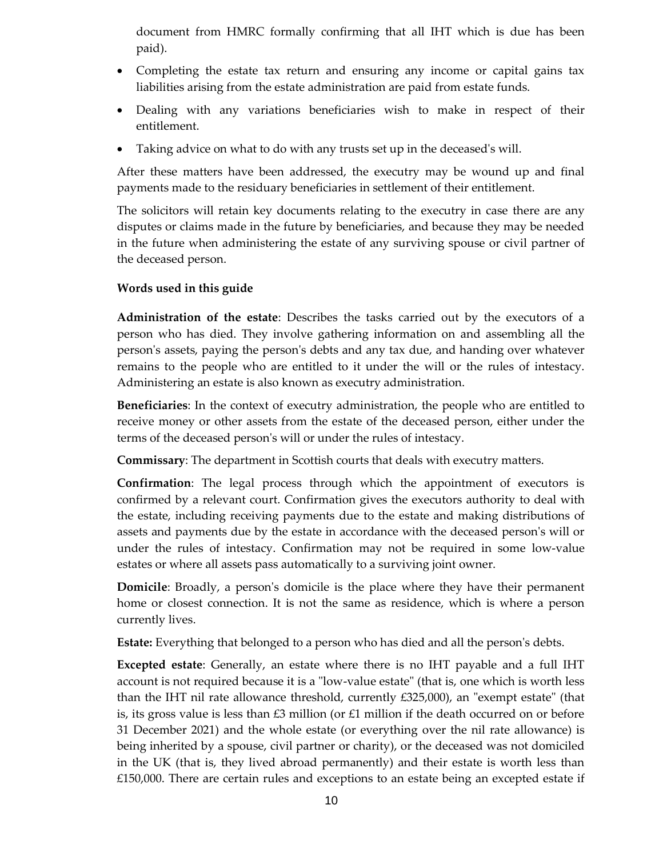document from HMRC formally confirming that all IHT which is due has been paid).

- Completing the estate tax return and ensuring any income or capital gains tax liabilities arising from the estate administration are paid from estate funds.
- Dealing with any variations beneficiaries wish to make in respect of their entitlement.
- Taking advice on what to do with any trusts set up in the deceased's will.

After these matters have been addressed, the executry may be wound up and final payments made to the residuary beneficiaries in settlement of their entitlement.

The solicitors will retain key documents relating to the executry in case there are any disputes or claims made in the future by beneficiaries, and because they may be needed in the future when administering the estate of any surviving spouse or civil partner of the deceased person.

# **Words used in this guide**

**Administration of the estate**: Describes the tasks carried out by the executors of a person who has died. They involve gathering information on and assembling all the person's assets, paying the person's debts and any tax due, and handing over whatever remains to the people who are entitled to it under the will or the rules of intestacy. Administering an estate is also known as executry administration.

**Beneficiaries**: In the context of executry administration, the people who are entitled to receive money or other assets from the estate of the deceased person, either under the terms of the deceased person's will or under the rules of intestacy.

**Commissary**: The department in Scottish courts that deals with executry matters.

**Confirmation**: The legal process through which the appointment of executors is confirmed by a relevant court. Confirmation gives the executors authority to deal with the estate, including receiving payments due to the estate and making distributions of assets and payments due by the estate in accordance with the deceased person's will or under the rules of intestacy. Confirmation may not be required in some low-value estates or where all assets pass automatically to a surviving joint owner.

**Domicile**: Broadly, a person's domicile is the place where they have their permanent home or closest connection. It is not the same as residence, which is where a person currently lives.

**Estate:** Everything that belonged to a person who has died and all the person's debts.

**Excepted estate**: Generally, an estate where there is no IHT payable and a full IHT account is not required because it is a "low-value estate" (that is, one which is worth less than the IHT nil rate allowance threshold, currently £325,000), an "exempt estate" (that is, its gross value is less than  $\text{\pounds}3$  million (or  $\text{\pounds}1$  million if the death occurred on or before 31 December 2021) and the whole estate (or everything over the nil rate allowance) is being inherited by a spouse, civil partner or charity), or the deceased was not domiciled in the UK (that is, they lived abroad permanently) and their estate is worth less than £150,000. There are certain rules and exceptions to an estate being an excepted estate if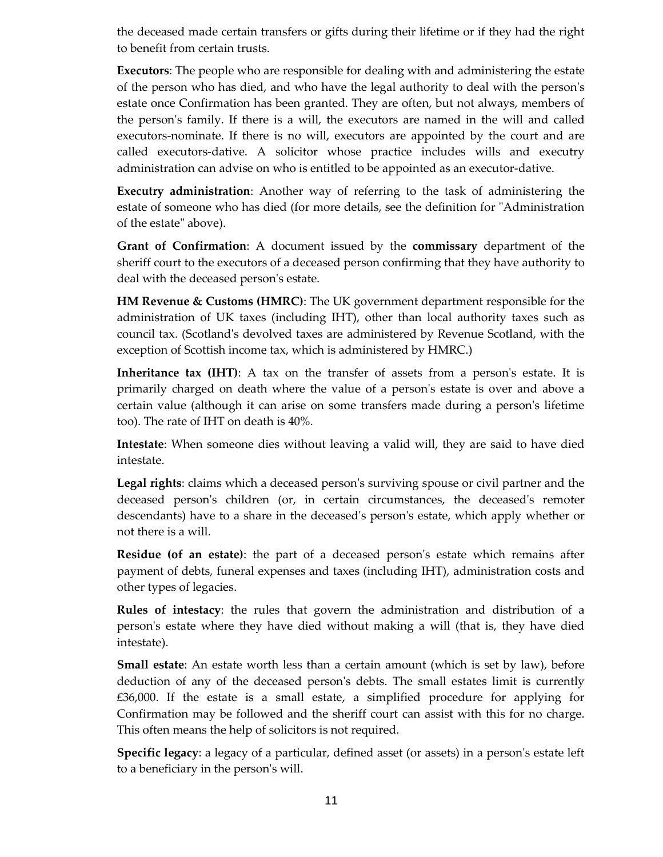the deceased made certain transfers or gifts during their lifetime or if they had the right to benefit from certain trusts.

**Executors**: The people who are responsible for dealing with and administering the estate of the person who has died, and who have the legal authority to deal with the person's estate once Confirmation has been granted. They are often, but not always, members of the person's family. If there is a will, the executors are named in the will and called executors-nominate. If there is no will, executors are appointed by the court and are called executors-dative. A solicitor whose practice includes wills and executry administration can advise on who is entitled to be appointed as an executor-dative.

**Executry administration**: Another way of referring to the task of administering the estate of someone who has died (for more details, see the definition for "Administration of the estate" above).

**Grant of Confirmation**: A document issued by the **commissary** department of the sheriff court to the executors of a deceased person confirming that they have authority to deal with the deceased person's estate.

**HM Revenue & Customs (HMRC)**: The UK government department responsible for the administration of UK taxes (including IHT), other than local authority taxes such as council tax. (Scotland's devolved taxes are administered by Revenue Scotland, with the exception of Scottish income tax, which is administered by HMRC.)

**Inheritance tax (IHT)**: A tax on the transfer of assets from a person's estate. It is primarily charged on death where the value of a person's estate is over and above a certain value (although it can arise on some transfers made during a person's lifetime too). The rate of IHT on death is 40%.

**Intestate**: When someone dies without leaving a valid will, they are said to have died intestate.

**Legal rights**: claims which a deceased person's surviving spouse or civil partner and the deceased person's children (or, in certain circumstances, the deceased's remoter descendants) have to a share in the deceased's person's estate, which apply whether or not there is a will.

**Residue (of an estate)**: the part of a deceased person's estate which remains after payment of debts, funeral expenses and taxes (including IHT), administration costs and other types of legacies.

**Rules of intestacy**: the rules that govern the administration and distribution of a person's estate where they have died without making a will (that is, they have died intestate).

**Small estate**: An estate worth less than a certain amount (which is set by law), before deduction of any of the deceased person's debts. The small estates limit is currently £36,000. If the estate is a small estate, a simplified procedure for applying for Confirmation may be followed and the sheriff court can assist with this for no charge. This often means the help of solicitors is not required.

**Specific legacy**: a legacy of a particular, defined asset (or assets) in a person's estate left to a beneficiary in the person's will.